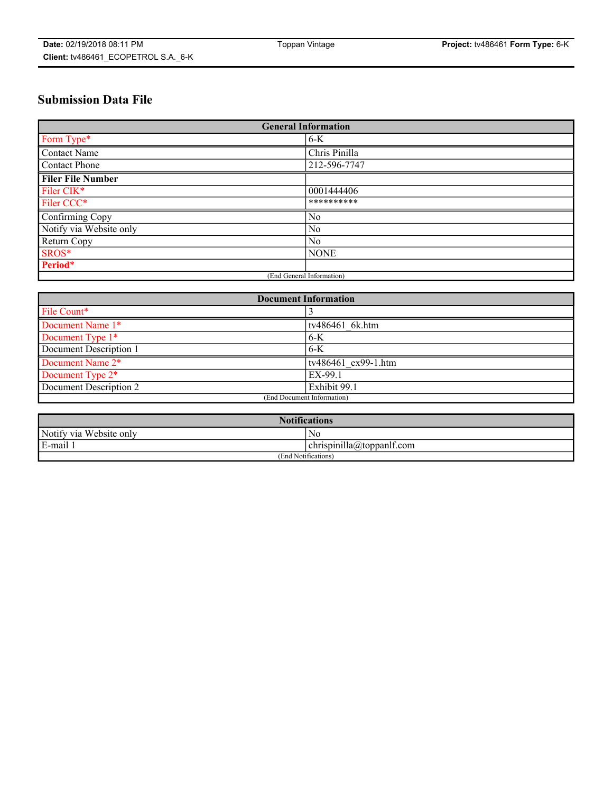## **Submission Data File**

| <b>General Information</b> |                |  |
|----------------------------|----------------|--|
| Form Type*                 | $6-K$          |  |
| Contact Name               | Chris Pinilla  |  |
| Contact Phone              | 212-596-7747   |  |
| <b>Filer File Number</b>   |                |  |
| Filer CIK*                 | 0001444406     |  |
| Filer CCC*                 | **********     |  |
| Confirming Copy            | No             |  |
| Notify via Website only    | N <sub>0</sub> |  |
| Return Copy                | No             |  |
| SROS*                      | <b>NONE</b>    |  |
| Period*                    |                |  |
| (End General Information)  |                |  |

| <b>Document Information</b> |                     |  |
|-----------------------------|---------------------|--|
| File Count*                 |                     |  |
| Document Name 1*            | tv486461 6k.htm     |  |
| Document Type 1*            | $6-K$               |  |
| Document Description 1      | $6 - K$             |  |
| Document Name 2*            | tv486461 ex99-1.htm |  |
| Document Type 2*            | EX-99.1             |  |
| Document Description 2      | Exhibit 99.1        |  |
| (End Document Information)  |                     |  |

| <b>Notifications</b>    |                                        |  |
|-------------------------|----------------------------------------|--|
| Notify via Website only | No                                     |  |
| E-mail 1                | <br>10<br> chrispinilla(a)toppanIt.com |  |
| (End Notifications)     |                                        |  |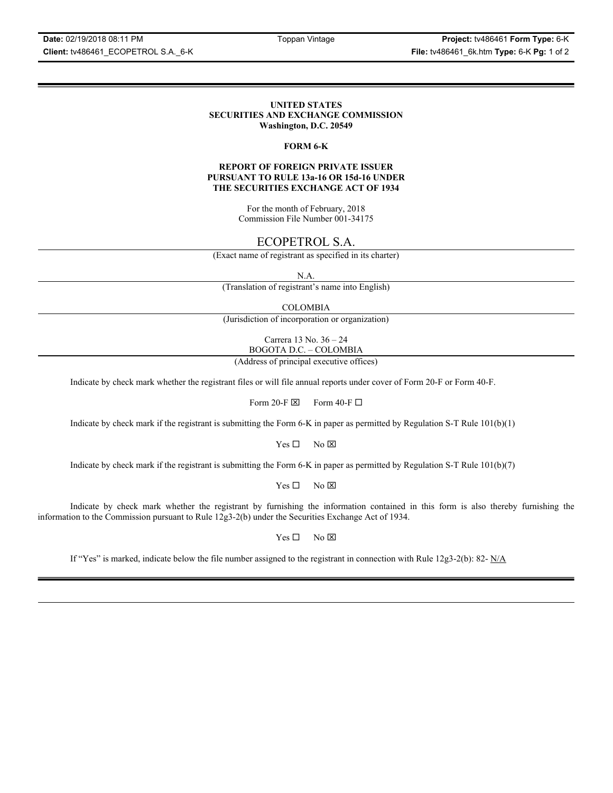**Date:** 02/19/2018 08:11 PM Toppan Vintage **Project:** tv486461 **Form Type:** 6-K **Client:** tv486461\_ECOPETROL S.A.\_6-K **File:** tv486461\_6k.htm **Type:** 6-K **Pg:** 1 of 2

### **UNITED STATES SECURITIES AND EXCHANGE COMMISSION Washington, D.C. 20549**

### **FORM 6-K**

### **REPORT OF FOREIGN PRIVATE ISSUER PURSUANT TO RULE 13a-16 OR 15d-16 UNDER THE SECURITIES EXCHANGE ACT OF 1934**

For the month of February, 2018 Commission File Number 001-34175

### ECOPETROL S.A.

(Exact name of registrant as specified in its charter)

N.A.

(Translation of registrant's name into English)

COLOMBIA

(Jurisdiction of incorporation or organization)

Carrera 13 No. 36 – 24 BOGOTA D.C. – COLOMBIA

(Address of principal executive offices)

Indicate by check mark whether the registrant files or will file annual reports under cover of Form 20-F or Form 40-F.

Form 20-F  $\boxtimes$  Form 40-F  $\Box$ 

Indicate by check mark if the registrant is submitting the Form 6-K in paper as permitted by Regulation S-T Rule 101(b)(1)

 $Yes \Box$  No  $\boxtimes$ 

Indicate by check mark if the registrant is submitting the Form 6-K in paper as permitted by Regulation S-T Rule 101(b)(7)

 $Yes \Box$  No  $\boxtimes$ 

Indicate by check mark whether the registrant by furnishing the information contained in this form is also thereby furnishing the information to the Commission pursuant to Rule 12g3-2(b) under the Securities Exchange Act of 1934.

 $Yes \Box$  No  $\boxtimes$ 

If "Yes" is marked, indicate below the file number assigned to the registrant in connection with Rule 12g3-2(b): 82-  $N/A$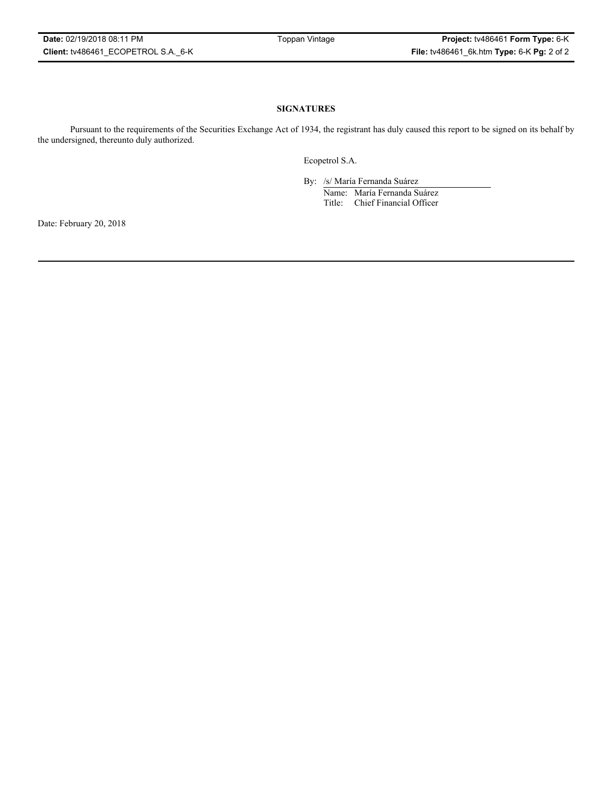### **SIGNATURES**

Pursuant to the requirements of the Securities Exchange Act of 1934, the registrant has duly caused this report to be signed on its behalf by the undersigned, thereunto duly authorized.

Ecopetrol S.A.

By: /s/ María Fernanda Suárez Name: María Fernanda Suárez Title: Chief Financial Officer

Date: February 20, 2018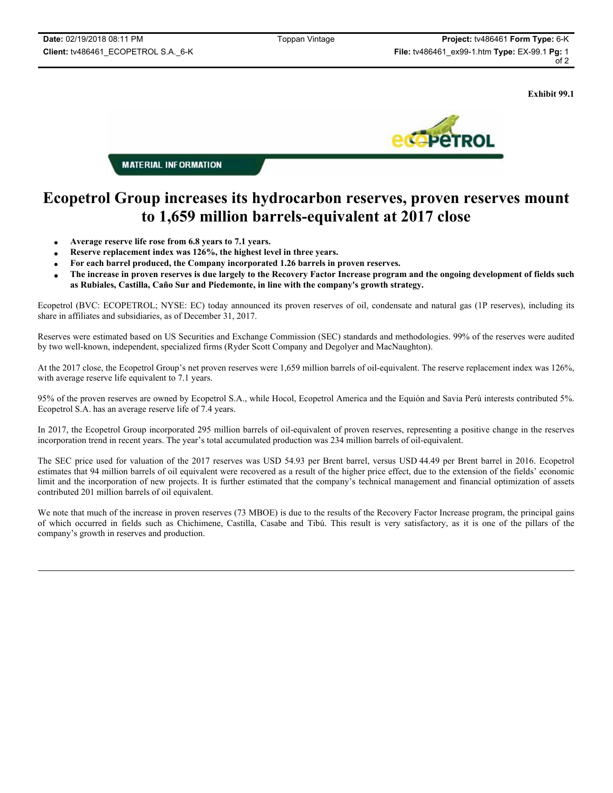**Exhibit 99.1**



**MATERIAL INFORMATION** 

# **Ecopetrol Group increases its hydrocarbon reserves, proven reserves mount to 1,659 million barrels-equivalent at 2017 close**

- x **Average reserve life rose from 6.8 years to 7.1 years.**
- x **Reserve replacement index was 126%, the highest level in three years.**
- x **For each barrel produced, the Company incorporated 1.26 barrels in proven reserves.**
- x **The increase in proven reserves is due largely to the Recovery Factor Increase program and the ongoing development of fields such as Rubiales, Castilla, Caño Sur and Piedemonte, in line with the company's growth strategy.**

Ecopetrol (BVC: ECOPETROL; NYSE: EC) today announced its proven reserves of oil, condensate and natural gas (1P reserves), including its share in affiliates and subsidiaries, as of December 31, 2017.

Reserves were estimated based on US Securities and Exchange Commission (SEC) standards and methodologies. 99% of the reserves were audited by two well-known, independent, specialized firms (Ryder Scott Company and Degolyer and MacNaughton).

At the 2017 close, the Ecopetrol Group's net proven reserves were 1,659 million barrels of oil-equivalent. The reserve replacement index was 126%, with average reserve life equivalent to 7.1 years.

95% of the proven reserves are owned by Ecopetrol S.A., while Hocol, Ecopetrol America and the Equión and Savia Perú interests contributed 5%. Ecopetrol S.A. has an average reserve life of 7.4 years.

In 2017, the Ecopetrol Group incorporated 295 million barrels of oil-equivalent of proven reserves, representing a positive change in the reserves incorporation trend in recent years. The year's total accumulated production was 234 million barrels of oil-equivalent.

The SEC price used for valuation of the 2017 reserves was USD 54.93 per Brent barrel, versus USD 44.49 per Brent barrel in 2016. Ecopetrol estimates that 94 million barrels of oil equivalent were recovered as a result of the higher price effect, due to the extension of the fields' economic limit and the incorporation of new projects. It is further estimated that the company's technical management and financial optimization of assets contributed 201 million barrels of oil equivalent.

We note that much of the increase in proven reserves (73 MBOE) is due to the results of the Recovery Factor Increase program, the principal gains of which occurred in fields such as Chichimene, Castilla, Casabe and Tibú. This result is very satisfactory, as it is one of the pillars of the company's growth in reserves and production.